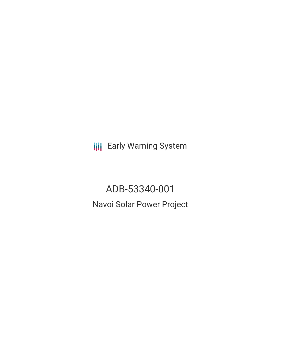**III** Early Warning System

ADB-53340-001 Navoi Solar Power Project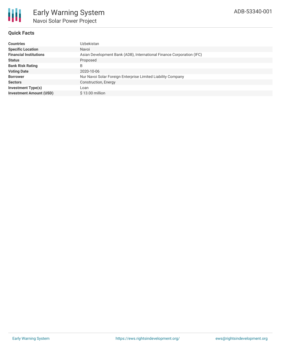

## **Quick Facts**

| <b>Countries</b>               | Uzbekistan                                                            |
|--------------------------------|-----------------------------------------------------------------------|
| <b>Specific Location</b>       | Navoi                                                                 |
| <b>Financial Institutions</b>  | Asian Development Bank (ADB), International Finance Corporation (IFC) |
| <b>Status</b>                  | Proposed                                                              |
| <b>Bank Risk Rating</b>        | B                                                                     |
| <b>Voting Date</b>             | 2020-10-06                                                            |
| <b>Borrower</b>                | Nur Navoi Solar Foreign Enterprise Limited Liability Company          |
| <b>Sectors</b>                 | Construction, Energy                                                  |
| <b>Investment Type(s)</b>      | Loan                                                                  |
| <b>Investment Amount (USD)</b> | $$13.00$ million                                                      |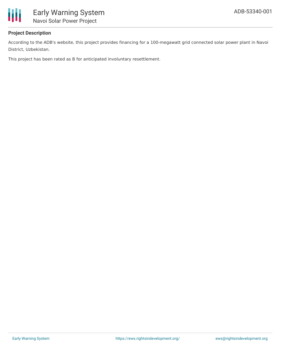

# **Project Description**

According to the ADB's website, this project provides financing for a 100-megawatt grid connected solar power plant in Navoi District, Uzbekistan.

This project has been rated as B for anticipated involuntary resettlement.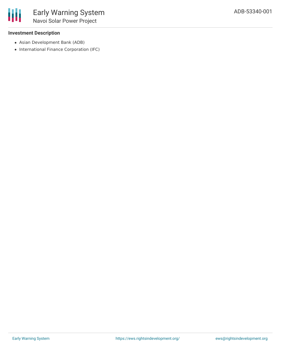### **Investment Description**

- Asian Development Bank (ADB)
- International Finance Corporation (IFC)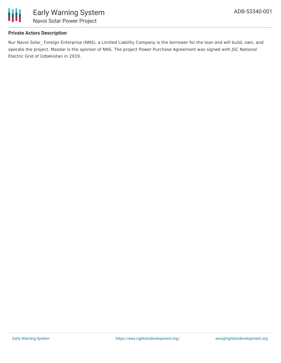

# **Private Actors Description**

Nur Navoi Solar\_ Foreign Enterprise (NNS), a Limited Liability Company is the borrower for the loan and will build, own, and operate the project. Masdar is the sponsor of NNS. The project Power Purchase Agreement was signed with JSC National Electric Grid of Uzbekistan in 2019.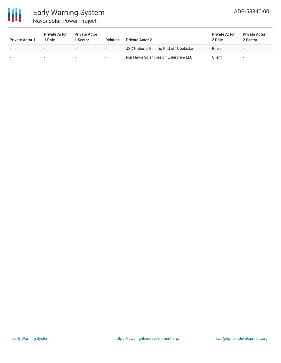

# Early Warning System Navoi Solar Power Project

| <b>Private Actor 1</b> | <b>Private Actor</b><br><sup>1</sup> Role | <b>Private Actor</b><br>l Sector | <b>Relation</b> | <b>Private Actor 2</b>                          | <b>Private Actor</b><br>2 Role | <b>Private Actor</b><br>2 Sector |
|------------------------|-------------------------------------------|----------------------------------|-----------------|-------------------------------------------------|--------------------------------|----------------------------------|
|                        | $\overline{\phantom{0}}$                  | $\sim$                           | $\,$            | <b>JSC National Electric Grid of Uzbekistan</b> | Buver                          | -                                |
|                        |                                           | $\sim$                           | $\sim$          | Nur Navoi Solar Foreign Enterprise LLC          | Client                         | -                                |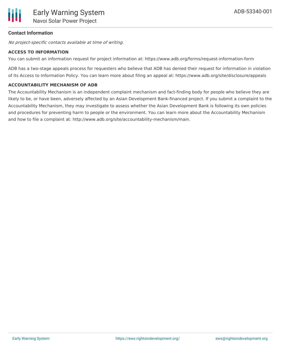### **Contact Information**

No project-specific contacts available at time of writing.

#### **ACCESS TO INFORMATION**

You can submit an information request for project information at: https://www.adb.org/forms/request-information-form

ADB has a two-stage appeals process for requesters who believe that ADB has denied their request for information in violation of its Access to Information Policy. You can learn more about filing an appeal at: https://www.adb.org/site/disclosure/appeals

#### **ACCOUNTABILITY MECHANISM OF ADB**

The Accountability Mechanism is an independent complaint mechanism and fact-finding body for people who believe they are likely to be, or have been, adversely affected by an Asian Development Bank-financed project. If you submit a complaint to the Accountability Mechanism, they may investigate to assess whether the Asian Development Bank is following its own policies and procedures for preventing harm to people or the environment. You can learn more about the Accountability Mechanism and how to file a complaint at: http://www.adb.org/site/accountability-mechanism/main.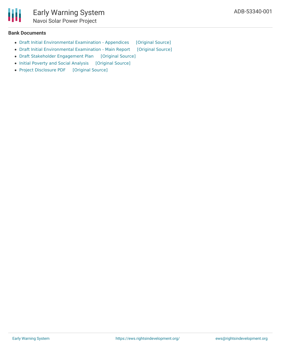#### **Bank Documents**

Ш

- Draft Initial [Environmental](https://ewsdata.rightsindevelopment.org/files/documents/01/ADB-53340-001_VtcHM30.pdf) Examination Appendices [\[Original](https://www.adb.org/projects/documents/uzb-53340-001-iee) Source]
- Draft Initial [Environmental](https://ewsdata.rightsindevelopment.org/files/documents/01/ADB-53340-001_oRU1lyf.pdf) Examination Main Report [\[Original](https://www.adb.org/projects/documents/uzb-53340-001-iee) Source]
- Draft Stakeholder [Engagement](https://ewsdata.rightsindevelopment.org/files/documents/01/ADB-53340-001_TIzbYL7.pdf) Plan [\[Original](https://www.adb.org/sites/default/files/project-documents/53340/53340-001-dpta-en.pdf) Source]
- Initial Poverty and Social [Analysis](https://ewsdata.rightsindevelopment.org/files/documents/01/ADB-53340-001_zcNCBNP.pdf) [\[Original](https://www.adb.org/sites/default/files/project-documents/53340/53340-001-ipsa-en.pdf) Source]
- Project [Disclosure](https://ewsdata.rightsindevelopment.org/files/documents/01/ADB-53340-001.pdf) PDF [\[Original](https://www.adb.org/printpdf/projects/53340-001/main) Source]